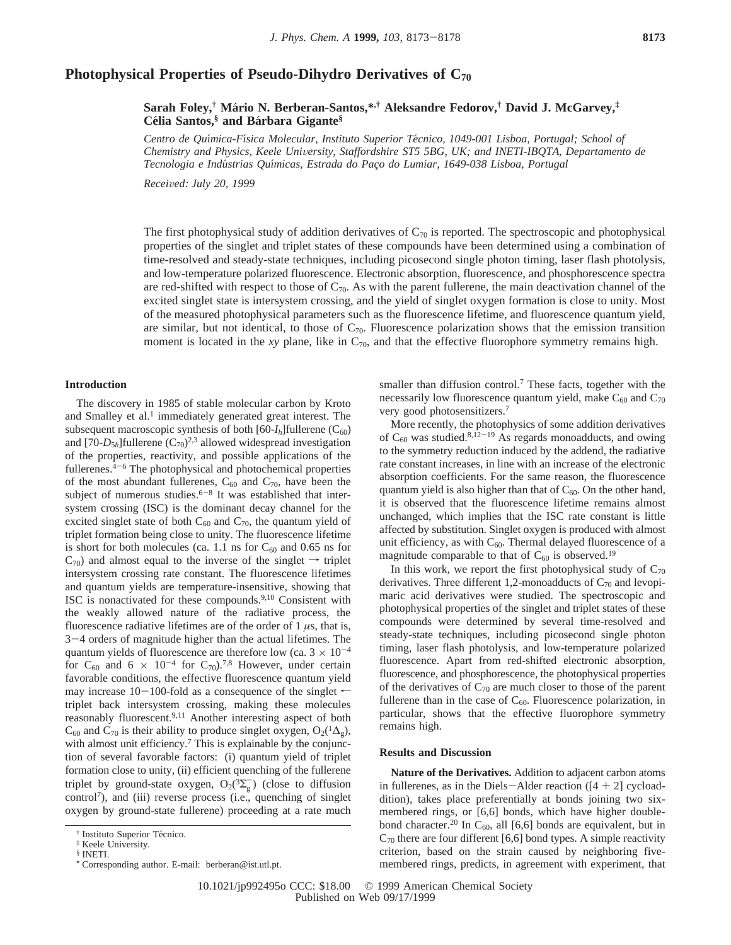# **Photophysical Properties of Pseudo-Dihydro Derivatives of C70**

**Sarah Foley,† Ma**´**rio N. Berberan-Santos,\*,† Aleksandre Fedorov,† David J. McGarvey,‡ Ce**´**lia Santos,§ and Ba**´**rbara Gigante§**

*Centro de Quı*´*mica-Fı*´*sica Molecular, Instituto Superior Te*´*cnico, 1049-001 Lisboa, Portugal; School of Chemistry and Physics, Keele Uni*V*ersity, Staffordshire ST5 5BG, UK; and INETI-IBQTA, Departamento de Tecnologia e Indu*´*strias Quı*´*micas, Estrada do Pac*¸*o do Lumiar, 1649-038 Lisboa, Portugal*

*Recei*V*ed: July 20, 1999*

The first photophysical study of addition derivatives of  $C_{70}$  is reported. The spectroscopic and photophysical properties of the singlet and triplet states of these compounds have been determined using a combination of time-resolved and steady-state techniques, including picosecond single photon timing, laser flash photolysis, and low-temperature polarized fluorescence. Electronic absorption, fluorescence, and phosphorescence spectra are red-shifted with respect to those of  $C_{70}$ . As with the parent fullerene, the main deactivation channel of the excited singlet state is intersystem crossing, and the yield of singlet oxygen formation is close to unity. Most of the measured photophysical parameters such as the fluorescence lifetime, and fluorescence quantum yield, are similar, but not identical, to those of  $C_{70}$ . Fluorescence polarization shows that the emission transition moment is located in the *xy* plane, like in  $C_{70}$ , and that the effective fluorophore symmetry remains high.

### **Introduction**

The discovery in 1985 of stable molecular carbon by Kroto and Smalley et al. $<sup>1</sup>$  immediately generated great interest. The</sup> subsequent macroscopic synthesis of both  $[60-I_h]$ fullerene (C<sub>60</sub>) and  $[70-D_{5h}]$ fullerene  $(C_{70})^{2,3}$  allowed widespread investigation of the properties, reactivity, and possible applications of the fullerenes. $4-6$  The photophysical and photochemical properties of the most abundant fullerenes,  $C_{60}$  and  $C_{70}$ , have been the subject of numerous studies.<sup>6-8</sup> It was established that intersystem crossing (ISC) is the dominant decay channel for the excited singlet state of both  $C_{60}$  and  $C_{70}$ , the quantum yield of triplet formation being close to unity. The fluorescence lifetime is short for both molecules (ca. 1.1 ns for  $C_{60}$  and 0.65 ns for  $C_{70}$ ) and almost equal to the inverse of the singlet  $\rightarrow$  triplet intersystem crossing rate constant. The fluorescence lifetimes and quantum yields are temperature-insensitive, showing that ISC is nonactivated for these compounds.<sup>9,10</sup> Consistent with the weakly allowed nature of the radiative process, the fluorescence radiative lifetimes are of the order of 1 *µ*s, that is, <sup>3</sup>-4 orders of magnitude higher than the actual lifetimes. The quantum yields of fluorescence are therefore low (ca.  $3 \times 10^{-4}$ ) for C<sub>60</sub> and 6  $\times$  10<sup>-4</sup> for C<sub>70</sub>).<sup>7,8</sup> However, under certain favorable conditions, the effective fluorescence quantum yield may increase 10-100-fold as a consequence of the singlet  $\leftarrow$ triplet back intersystem crossing, making these molecules reasonably fluorescent.9,11 Another interesting aspect of both  $C_{60}$  and  $C_{70}$  is their ability to produce singlet oxygen, O<sub>2</sub>(<sup>1</sup> $\Delta_{g}$ ), with almost unit efficiency.<sup>7</sup> This is explainable by the conjunction of several favorable factors: (i) quantum yield of triplet formation close to unity, (ii) efficient quenching of the fullerene triplet by ground-state oxygen,  $O_2(^3\Sigma_g^-)$  (close to diffusion control<sup>7</sup>), and (iii) reverse process (i.e., quenching of singlet oxygen by ground-state fullerene) proceeding at a rate much

smaller than diffusion control.<sup>7</sup> These facts, together with the necessarily low fluorescence quantum yield, make  $C_{60}$  and  $C_{70}$ very good photosensitizers.7

More recently, the photophysics of some addition derivatives of  $C_{60}$  was studied.<sup>8,12-19</sup> As regards monoadducts, and owing to the symmetry reduction induced by the addend, the radiative rate constant increases, in line with an increase of the electronic absorption coefficients. For the same reason, the fluorescence quantum yield is also higher than that of  $C_{60}$ . On the other hand, it is observed that the fluorescence lifetime remains almost unchanged, which implies that the ISC rate constant is little affected by substitution. Singlet oxygen is produced with almost unit efficiency, as with  $C_{60}$ . Thermal delayed fluorescence of a magnitude comparable to that of  $C_{60}$  is observed.<sup>19</sup>

In this work, we report the first photophysical study of  $C_{70}$ derivatives. Three different 1,2-monoadducts of  $C_{70}$  and levopimaric acid derivatives were studied. The spectroscopic and photophysical properties of the singlet and triplet states of these compounds were determined by several time-resolved and steady-state techniques, including picosecond single photon timing, laser flash photolysis, and low-temperature polarized fluorescence. Apart from red-shifted electronic absorption, fluorescence, and phosphorescence, the photophysical properties of the derivatives of  $C_{70}$  are much closer to those of the parent fullerene than in the case of  $C_{60}$ . Fluorescence polarization, in particular, shows that the effective fluorophore symmetry remains high.

### **Results and Discussion**

**Nature of the Derivatives.** Addition to adjacent carbon atoms in fullerenes, as in the Diels-Alder reaction  $([4 + 2]$  cycloaddition), takes place preferentially at bonds joining two sixmembered rings, or [6,6] bonds, which have higher doublebond character.<sup>20</sup> In C<sub>60</sub>, all [6,6] bonds are equivalent, but in  $C_{70}$  there are four different [6,6] bond types. A simple reactivity criterion, based on the strain caused by neighboring fivemembered rings, predicts, in agreement with experiment, that

<sup>&</sup>lt;sup>†</sup> Instituto Superior Técnico.

<sup>‡</sup> Keele University.

 $\$$  INETI.

**<sup>\*</sup>** Corresponding author. E-mail: berberan@ist.utl.pt.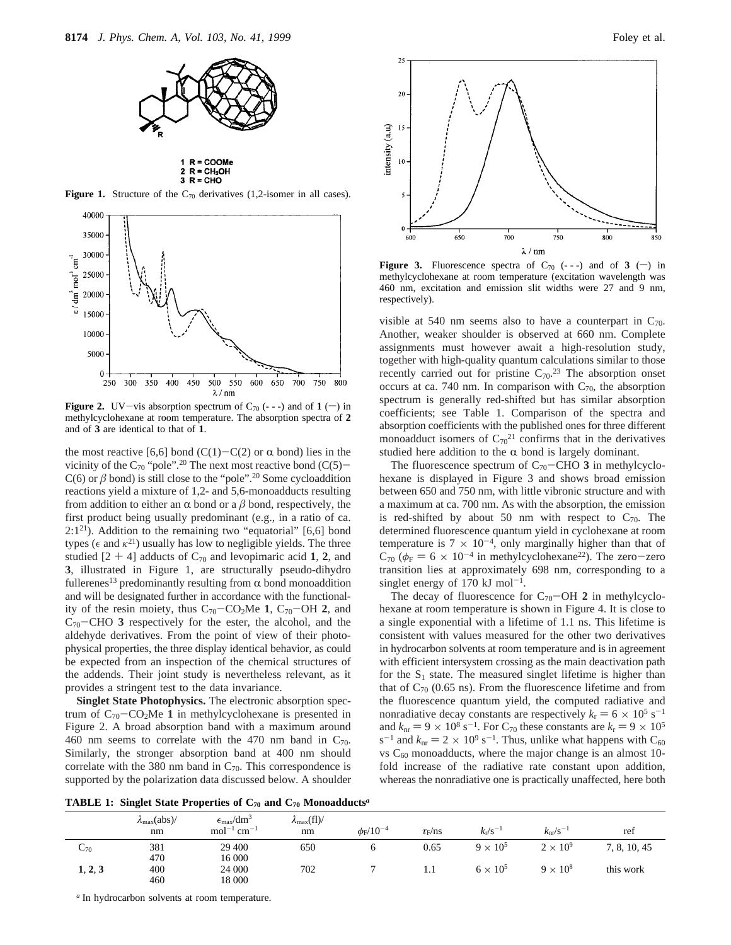



**Figure 1.** Structure of the  $C_{70}$  derivatives (1,2-isomer in all cases).



**Figure 2.** UV-vis absorption spectrum of  $C_{70}$  (---) and of  $1$  (-) in methylcyclohexane at room temperature. The absorption spectra of **2** and of **3** are identical to that of **1**.

the most reactive [6,6] bond (C(1)-C(2) or  $\alpha$  bond) lies in the vicinity of the C<sub>70</sub> "pole".<sup>20</sup> The next most reactive bond (C(5)- $C(6)$  or  $\beta$  bond) is still close to the "pole".<sup>20</sup> Some cycloaddition reactions yield a mixture of 1,2- and 5,6-monoadducts resulting from addition to either an  $\alpha$  bond or a  $\beta$  bond, respectively, the first product being usually predominant (e.g., in a ratio of ca.  $2:1^{21}$ ). Addition to the remaining two "equatorial" [6,6] bond types ( $\epsilon$  and  $\kappa$ <sup>21</sup>) usually has low to negligible yields. The three studied  $[2 + 4]$  adducts of  $C_{70}$  and levopimaric acid 1, 2, and **3**, illustrated in Figure 1, are structurally pseudo-dihydro fullerenes<sup>13</sup> predominantly resulting from  $\alpha$  bond monoaddition and will be designated further in accordance with the functionality of the resin moiety, thus C70-CO2Me **<sup>1</sup>**, C70-OH **<sup>2</sup>**, and C70-CHO **<sup>3</sup>** respectively for the ester, the alcohol, and the aldehyde derivatives. From the point of view of their photophysical properties, the three display identical behavior, as could be expected from an inspection of the chemical structures of the addends. Their joint study is nevertheless relevant, as it provides a stringent test to the data invariance.

**Singlet State Photophysics.** The electronic absorption spectrum of  $C_{70}$ - $CO<sub>2</sub>Me$  1 in methylcyclohexane is presented in Figure 2. A broad absorption band with a maximum around 460 nm seems to correlate with the 470 nm band in  $C_{70}$ . Similarly, the stronger absorption band at 400 nm should correlate with the 380 nm band in  $C_{70}$ . This correspondence is supported by the polarization data discussed below. A shoulder



**Figure 3.** Fluorescence spectra of  $C_{70}$  (---) and of **3** (-) in methylcyclohexane at room temperature (excitation wavelength was 460 nm, excitation and emission slit widths were 27 and 9 nm, respectively).

visible at 540 nm seems also to have a counterpart in  $C_{70}$ . Another, weaker shoulder is observed at 660 nm. Complete assignments must however await a high-resolution study, together with high-quality quantum calculations similar to those recently carried out for pristine  $C_{70}$ <sup>23</sup> The absorption onset occurs at ca. 740 nm. In comparison with  $C_{70}$ , the absorption spectrum is generally red-shifted but has similar absorption coefficients; see Table 1. Comparison of the spectra and absorption coefficients with the published ones for three different monoadduct isomers of  $C_{70}^{21}$  confirms that in the derivatives studied here addition to the  $\alpha$  bond is largely dominant.

The fluorescence spectrum of  $C_{70}$ –CHO **3** in methylcyclohexane is displayed in Figure 3 and shows broad emission between 650 and 750 nm, with little vibronic structure and with a maximum at ca. 700 nm. As with the absorption, the emission is red-shifted by about 50 nm with respect to  $C_{70}$ . The determined fluorescence quantum yield in cyclohexane at room temperature is  $7 \times 10^{-4}$ , only marginally higher than that of  $C_{70}$  ( $\phi_F = 6 \times 10^{-4}$  in methylcyclohexane<sup>22</sup>). The zero-zero transition lies at approximately 698 nm, corresponding to a singlet energy of 170 kJ mol<sup>-1</sup>.

The decay of fluorescence for  $C_{70}$ -OH 2 in methylcyclohexane at room temperature is shown in Figure 4. It is close to a single exponential with a lifetime of 1.1 ns. This lifetime is consistent with values measured for the other two derivatives in hydrocarbon solvents at room temperature and is in agreement with efficient intersystem crossing as the main deactivation path for the  $S_1$  state. The measured singlet lifetime is higher than that of  $C_{70}$  (0.65 ns). From the fluorescence lifetime and from the fluorescence quantum yield, the computed radiative and nonradiative decay constants are respectively  $k_r = 6 \times 10^5$  s<sup>-1</sup> and  $k_{\text{nr}} = 9 \times 10^8 \text{ s}^{-1}$ . For C<sub>70</sub> these constants are  $k_{\text{r}} = 9 \times 10^5$ s<sup>-1</sup> and  $k_{\text{nr}} = 2 \times 10^9 \text{ s}^{-1}$ . Thus, unlike what happens with C<sub>60</sub> vs  $C_{60}$  monoadducts, where the major change is an almost 10fold increase of the radiative rate constant upon addition, whereas the nonradiative one is practically unaffected, here both

**TABLE 1: Singlet State Properties of C70 and C70 Monoadducts***<sup>a</sup>*

|          | $\lambda_{\text{max}}(\text{abs})$ /<br>nm | $\epsilon_{\rm max}/dm^3$<br>$mol^{-1}$ cm <sup>-1</sup> | $\lambda_{\text{max}}(fl)/$<br>nm | $\phi_{\rm F}$ /10 <sup>-4</sup> | $\tau_F$ /ns | $k_r / s^{-1}$  | $k_{\rm nr}/\rm s^{-1}$ | ref          |
|----------|--------------------------------------------|----------------------------------------------------------|-----------------------------------|----------------------------------|--------------|-----------------|-------------------------|--------------|
| $C_{70}$ | 381                                        | 29 400                                                   | 650                               | 6                                | 0.65         | $9 \times 10^5$ | $2 \times 10^9$         | 7, 8, 10, 45 |
|          | 470                                        | 16 000                                                   |                                   |                                  |              |                 |                         |              |
| 1, 2, 3  | 400                                        | 24 000                                                   | 702                               |                                  | 1.1          | $6 \times 10^5$ | $9 \times 10^8$         | this work    |
|          | 460                                        | 18 000                                                   |                                   |                                  |              |                 |                         |              |

*<sup>a</sup>* In hydrocarbon solvents at room temperature.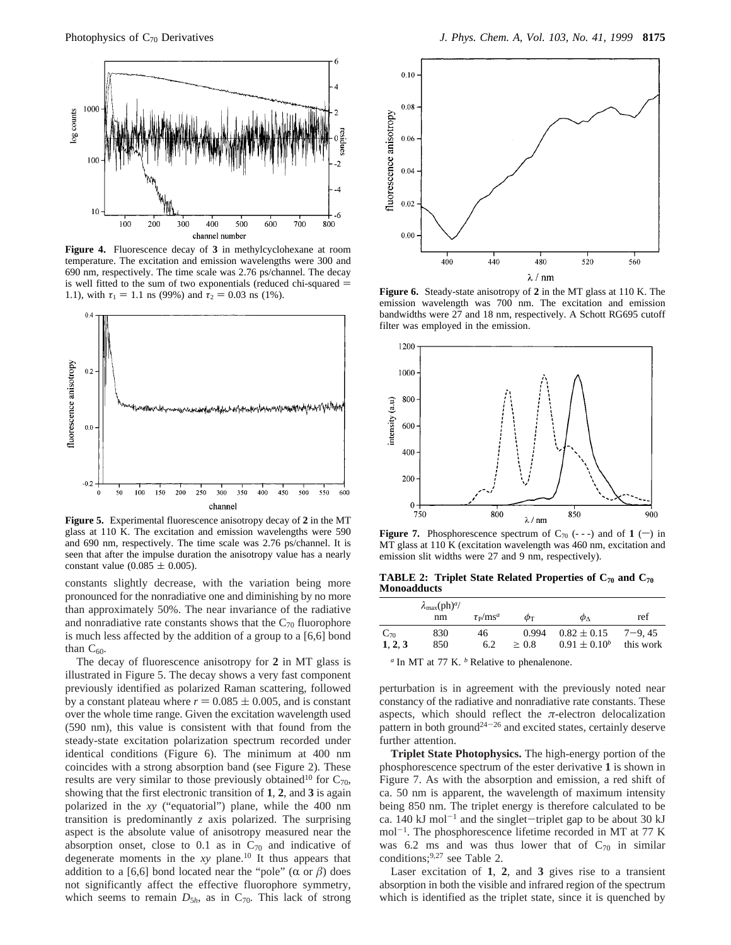

**Figure 4.** Fluorescence decay of **3** in methylcyclohexane at room temperature. The excitation and emission wavelengths were 300 and 690 nm, respectively. The time scale was 2.76 ps/channel. The decay is well fitted to the sum of two exponentials (reduced chi-squared  $=$ 1.1), with  $\tau_1 = 1.1$  ns (99%) and  $\tau_2 = 0.03$  ns (1%).



**Figure 5.** Experimental fluorescence anisotropy decay of **2** in the MT glass at 110 K. The excitation and emission wavelengths were 590 and 690 nm, respectively. The time scale was 2.76 ps/channel. It is seen that after the impulse duration the anisotropy value has a nearly constant value  $(0.085 \pm 0.005)$ .

constants slightly decrease, with the variation being more pronounced for the nonradiative one and diminishing by no more than approximately 50%. The near invariance of the radiative and nonradiative rate constants shows that the  $C_{70}$  fluorophore is much less affected by the addition of a group to a [6,6] bond than  $C_{60}$ .

The decay of fluorescence anisotropy for **2** in MT glass is illustrated in Figure 5. The decay shows a very fast component previously identified as polarized Raman scattering, followed by a constant plateau where  $r = 0.085 \pm 0.005$ , and is constant over the whole time range. Given the excitation wavelength used (590 nm), this value is consistent with that found from the steady-state excitation polarization spectrum recorded under identical conditions (Figure 6). The minimum at 400 nm coincides with a strong absorption band (see Figure 2). These results are very similar to those previously obtained<sup>10</sup> for  $C_{70}$ , showing that the first electronic transition of **1**, **2**, and **3** is again polarized in the *xy* ("equatorial") plane, while the 400 nm transition is predominantly *z* axis polarized. The surprising aspect is the absolute value of anisotropy measured near the absorption onset, close to  $0.1$  as in  $C_{70}$  and indicative of degenerate moments in the *xy* plane.10 It thus appears that addition to a [6,6] bond located near the "pole" ( $\alpha$  or  $\beta$ ) does not significantly affect the effective fluorophore symmetry, which seems to remain  $D_{5h}$ , as in  $C_{70}$ . This lack of strong



**Figure 6.** Steady-state anisotropy of **2** in the MT glass at 110 K. The emission wavelength was 700 nm. The excitation and emission bandwidths were 27 and 18 nm, respectively. A Schott RG695 cutoff filter was employed in the emission.



**Figure 7.** Phosphorescence spectrum of  $C_{70}$  (---) and of  $1$  (-) in MT glass at 110 K (excitation wavelength was 460 nm, excitation and emission slit widths were 27 and 9 nm, respectively).

**TABLE 2: Triplet State Related Properties of C70 and C70 Monoadducts**

|          | $\lambda_{\max}$ (ph) <sup><i>a</i></sup> /<br>nm | $\tau_{\rm p}/\mathrm{m s}^a$ | $\phi$ T   | $\phi_{\Lambda}$  | ref       |
|----------|---------------------------------------------------|-------------------------------|------------|-------------------|-----------|
| $C_{70}$ | 830                                               | 46                            | 0.994      | $0.82 \pm 0.15$   | $7-9.45$  |
| 1, 2, 3  | 850                                               | 6.2                           | $\geq 0.8$ | $0.91 \pm 0.10^b$ | this work |

*<sup>a</sup>* In MT at 77 K. *<sup>b</sup>* Relative to phenalenone.

perturbation is in agreement with the previously noted near constancy of the radiative and nonradiative rate constants. These aspects, which should reflect the  $\pi$ -electron delocalization pattern in both ground24-<sup>26</sup> and excited states, certainly deserve further attention.

**Triplet State Photophysics.** The high-energy portion of the phosphorescence spectrum of the ester derivative **1** is shown in Figure 7. As with the absorption and emission, a red shift of ca. 50 nm is apparent, the wavelength of maximum intensity being 850 nm. The triplet energy is therefore calculated to be ca.  $140 \text{ kJ} \text{ mol}^{-1}$  and the singlet-triplet gap to be about 30 kJ  $mol^{-1}$ . The phosphorescence lifetime recorded in MT at 77 K was 6.2 ms and was thus lower that of  $C_{70}$  in similar conditions;9,27 see Table 2.

Laser excitation of **1**, **2**, and **3** gives rise to a transient absorption in both the visible and infrared region of the spectrum which is identified as the triplet state, since it is quenched by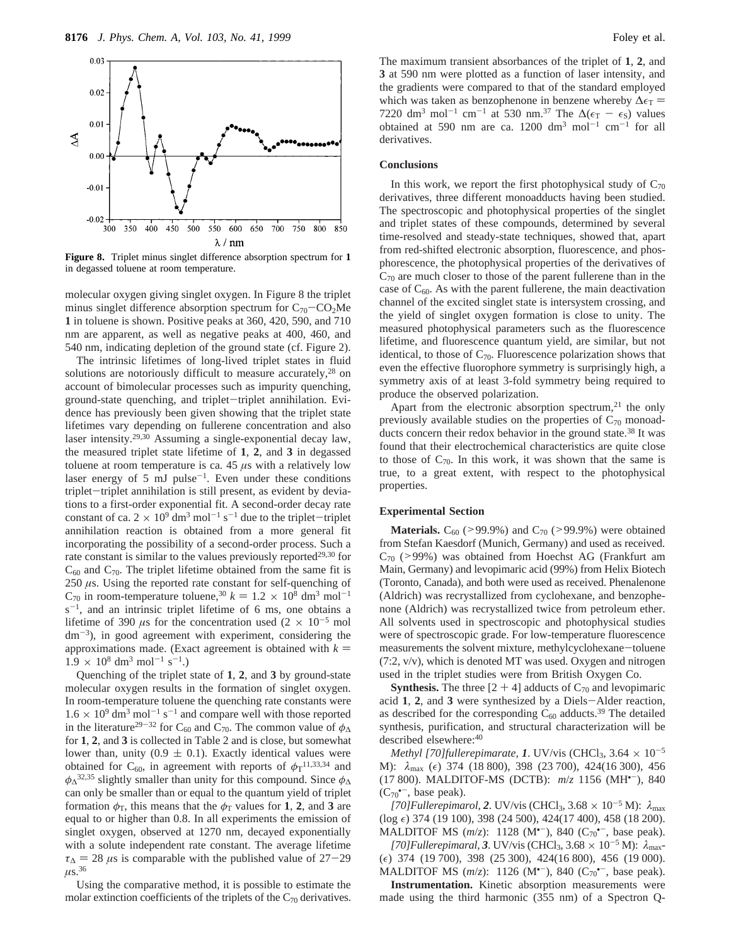

**Figure 8.** Triplet minus singlet difference absorption spectrum for **1** in degassed toluene at room temperature.

molecular oxygen giving singlet oxygen. In Figure 8 the triplet minus singlet difference absorption spectrum for  $C_{70}$ -CO<sub>2</sub>Me **1** in toluene is shown. Positive peaks at 360, 420, 590, and 710 nm are apparent, as well as negative peaks at 400, 460, and 540 nm, indicating depletion of the ground state (cf. Figure 2).

The intrinsic lifetimes of long-lived triplet states in fluid solutions are notoriously difficult to measure accurately, $28$  on account of bimolecular processes such as impurity quenching, ground-state quenching, and triplet-triplet annihilation. Evidence has previously been given showing that the triplet state lifetimes vary depending on fullerene concentration and also laser intensity.29,30 Assuming a single-exponential decay law, the measured triplet state lifetime of **1**, **2**, and **3** in degassed toluene at room temperature is ca. 45 *µ*s with a relatively low laser energy of  $5 \text{ mJ pulse}^{-1}$ . Even under these conditions triplet-triplet annihilation is still present, as evident by deviations to a first-order exponential fit. A second-order decay rate constant of ca.  $2 \times 10^9$  dm<sup>3</sup> mol<sup>-1</sup> s<sup>-1</sup> due to the triplet-triplet annihilation reaction is obtained from a more general fit incorporating the possibility of a second-order process. Such a rate constant is similar to the values previously reported $29,30$  for  $C_{60}$  and  $C_{70}$ . The triplet lifetime obtained from the same fit is 250 *µ*s. Using the reported rate constant for self-quenching of  $C_{70}$  in room-temperature toluene,<sup>30</sup>  $k = 1.2 \times 10^8$  dm<sup>3</sup> mol<sup>-1</sup>  $s^{-1}$ , and an intrinsic triplet lifetime of 6 ms, one obtains a lifetime of 390  $\mu$ s for the concentration used (2 × 10<sup>-5</sup> mol  $dm^{-3}$ ), in good agreement with experiment, considering the approximations made. (Exact agreement is obtained with  $k =$  $1.9 \times 10^8$  dm<sup>3</sup> mol<sup>-1</sup> s<sup>-1</sup>.)

Quenching of the triplet state of **1**, **2**, and **3** by ground-state molecular oxygen results in the formation of singlet oxygen. In room-temperature toluene the quenching rate constants were  $1.6 \times 10^9$  dm<sup>3</sup> mol<sup>-1</sup> s<sup>-1</sup> and compare well with those reported in the literature<sup>29-32</sup> for C<sub>60</sub> and C<sub>70</sub>. The common value of  $\phi_{\Delta}$ for **1**, **2**, and **3** is collected in Table 2 and is close, but somewhat lower than, unity ( $0.9 \pm 0.1$ ). Exactly identical values were obtained for C<sub>60</sub>, in agreement with reports of  $\phi_T$ <sup>11,33,34</sup> and *φ*∆32,35 slightly smaller than unity for this compound. Since *φ*<sup>∆</sup> can only be smaller than or equal to the quantum yield of triplet formation  $\phi_T$ , this means that the  $\phi_T$  values for 1, 2, and 3 are equal to or higher than 0.8. In all experiments the emission of singlet oxygen, observed at 1270 nm, decayed exponentially with a solute independent rate constant. The average lifetime  $\tau_{\Delta}$  = 28 *µs* is comparable with the published value of 27-29  $\mu$ s.<sup>36</sup>

Using the comparative method, it is possible to estimate the molar extinction coefficients of the triplets of the  $C_{70}$  derivatives.

The maximum transient absorbances of the triplet of **1**, **2**, and **3** at 590 nm were plotted as a function of laser intensity, and the gradients were compared to that of the standard employed which was taken as benzophenone in benzene whereby  $\Delta \epsilon_T$  = 7220 dm<sup>3</sup> mol<sup>-1</sup> cm<sup>-1</sup> at 530 nm.<sup>37</sup> The  $\Delta(\epsilon_T - \epsilon_S)$  values obtained at 590 nm are ca. 1200 dm<sup>3</sup> mol<sup>-1</sup> cm<sup>-1</sup> for all derivatives.

#### **Conclusions**

In this work, we report the first photophysical study of  $C_{70}$ derivatives, three different monoadducts having been studied. The spectroscopic and photophysical properties of the singlet and triplet states of these compounds, determined by several time-resolved and steady-state techniques, showed that, apart from red-shifted electronic absorption, fluorescence, and phosphorescence, the photophysical properties of the derivatives of  $C_{70}$  are much closer to those of the parent fullerene than in the case of  $C_{60}$ . As with the parent fullerene, the main deactivation channel of the excited singlet state is intersystem crossing, and the yield of singlet oxygen formation is close to unity. The measured photophysical parameters such as the fluorescence lifetime, and fluorescence quantum yield, are similar, but not identical, to those of  $C_{70}$ . Fluorescence polarization shows that even the effective fluorophore symmetry is surprisingly high, a symmetry axis of at least 3-fold symmetry being required to produce the observed polarization.

Apart from the electronic absorption spectrum, $21$  the only previously available studies on the properties of  $C_{70}$  monoadducts concern their redox behavior in the ground state.<sup>38</sup> It was found that their electrochemical characteristics are quite close to those of  $C_{70}$ . In this work, it was shown that the same is true, to a great extent, with respect to the photophysical properties.

## **Experimental Section**

**Materials.**  $C_{60}$  (>99.9%) and  $C_{70}$  (>99.9%) were obtained from Stefan Kaesdorf (Munich, Germany) and used as received.  $C_{70}$  (>99%) was obtained from Hoechst AG (Frankfurt am Main, Germany) and levopimaric acid (99%) from Helix Biotech (Toronto, Canada), and both were used as received. Phenalenone (Aldrich) was recrystallized from cyclohexane, and benzophenone (Aldrich) was recrystallized twice from petroleum ether. All solvents used in spectroscopic and photophysical studies were of spectroscopic grade. For low-temperature fluorescence measurements the solvent mixture, methylcyclohexane-toluene (7:2, v/v), which is denoted MT was used. Oxygen and nitrogen used in the triplet studies were from British Oxygen Co.

**Synthesis.** The three  $[2 + 4]$  adducts of  $C_{70}$  and levopimaric acid **<sup>1</sup>**, **<sup>2</sup>**, and **<sup>3</sup>** were synthesized by a Diels-Alder reaction, as described for the corresponding  $C_{60}$  adducts.<sup>39</sup> The detailed synthesis, purification, and structural characterization will be described elsewhere:<sup>40</sup>

*Methyl* [70]fullerepimarate, 1. UV/vis (CHCl<sub>3</sub>, 3.64  $\times$  10<sup>-5</sup> M):  $\lambda_{\text{max}}$  (ε) 374 (18 800), 398 (23 700), 424(16 300), 456 (17 800). MALDITOF-MS (DCTB): *m*/*z* 1156 (MH•-), 840  $(C_{70}^{\bullet-}$ , base peak).

 $[70]$ Fullerepimarol, 2. UV/vis (CHCl<sub>3</sub>, 3.68  $\times$  10<sup>-5</sup> M):  $\lambda_{\text{max}}$  $(\log \epsilon)$  374 (19 100), 398 (24 500), 424(17 400), 458 (18 200). MALDITOF MS  $(m/z)$ : 1128 (M<sup>\*-</sup>), 840 ( $C_{70}$ <sup>\*-</sup>, base peak).

 $[70]$ Fullerepimaral, 3. UV/vis (CHCl<sub>3</sub>, 3.68  $\times$  10<sup>-5</sup> M):  $\lambda_{\text{max}}$  $(\epsilon)$  374 (19 700), 398 (25 300), 424(16 800), 456 (19 000). MALDITOF MS  $(m/z)$ : 1126 (M<sup>\*-</sup>), 840 ( $C_{70}$ <sup>\*-</sup>, base peak).

**Instrumentation.** Kinetic absorption measurements were made using the third harmonic (355 nm) of a Spectron Q-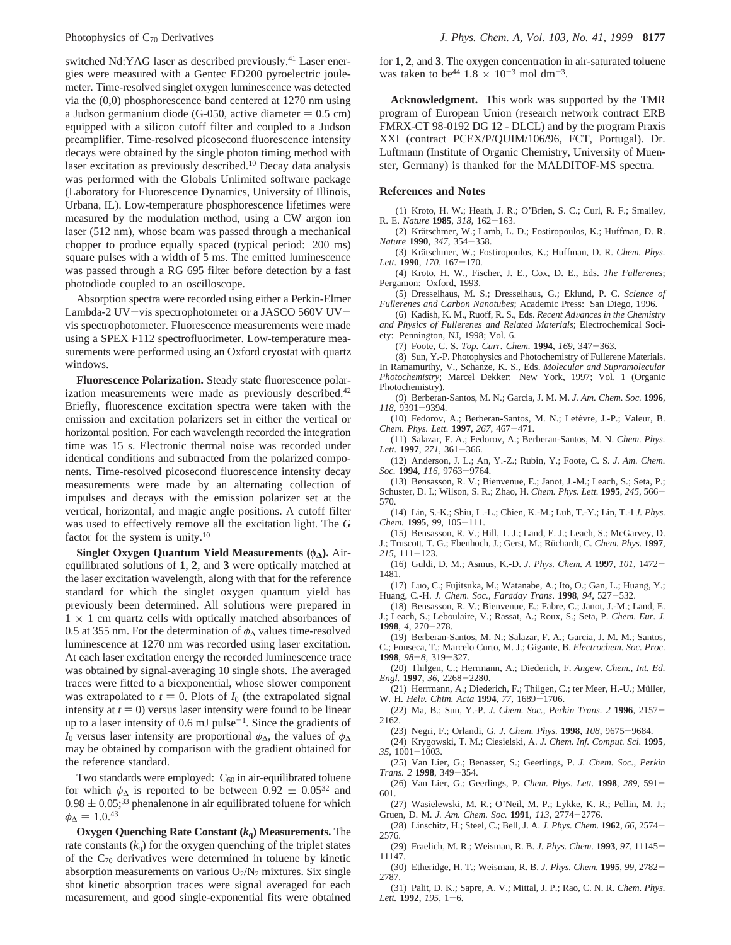switched Nd:YAG laser as described previously.<sup>41</sup> Laser energies were measured with a Gentec ED200 pyroelectric joulemeter. Time-resolved singlet oxygen luminescence was detected via the (0,0) phosphorescence band centered at 1270 nm using a Judson germanium diode (G-050, active diameter  $= 0.5$  cm) equipped with a silicon cutoff filter and coupled to a Judson preamplifier. Time-resolved picosecond fluorescence intensity decays were obtained by the single photon timing method with laser excitation as previously described.10 Decay data analysis was performed with the Globals Unlimited software package (Laboratory for Fluorescence Dynamics, University of Illinois, Urbana, IL). Low-temperature phosphorescence lifetimes were measured by the modulation method, using a CW argon ion laser (512 nm), whose beam was passed through a mechanical chopper to produce equally spaced (typical period: 200 ms) square pulses with a width of 5 ms. The emitted luminescence was passed through a RG 695 filter before detection by a fast photodiode coupled to an oscilloscope.

Absorption spectra were recorded using either a Perkin-Elmer Lambda-2 UV-vis spectrophotometer or a JASCO 560V UVvis spectrophotometer. Fluorescence measurements were made using a SPEX F112 spectrofluorimeter. Low-temperature measurements were performed using an Oxford cryostat with quartz windows.

**Fluorescence Polarization.** Steady state fluorescence polarization measurements were made as previously described.<sup>42</sup> Briefly, fluorescence excitation spectra were taken with the emission and excitation polarizers set in either the vertical or horizontal position. For each wavelength recorded the integration time was 15 s. Electronic thermal noise was recorded under identical conditions and subtracted from the polarized components. Time-resolved picosecond fluorescence intensity decay measurements were made by an alternating collection of impulses and decays with the emission polarizer set at the vertical, horizontal, and magic angle positions. A cutoff filter was used to effectively remove all the excitation light. The *G* factor for the system is unity.<sup>10</sup>

**Singlet Oxygen Quantum Yield Measurements (** $φ$ **<sub>Δ</sub>).** Airequilibrated solutions of **1**, **2**, and **3** were optically matched at the laser excitation wavelength, along with that for the reference standard for which the singlet oxygen quantum yield has previously been determined. All solutions were prepared in  $1 \times 1$  cm quartz cells with optically matched absorbances of 0.5 at 355 nm. For the determination of *φ*<sup>∆</sup> values time-resolved luminescence at 1270 nm was recorded using laser excitation. At each laser excitation energy the recorded luminescence trace was obtained by signal-averaging 10 single shots. The averaged traces were fitted to a biexponential, whose slower component was extrapolated to  $t = 0$ . Plots of  $I_0$  (the extrapolated signal intensity at  $t = 0$ ) versus laser intensity were found to be linear up to a laser intensity of 0.6 mJ pulse<sup> $-1$ </sup>. Since the gradients of *I*<sub>0</sub> versus laser intensity are proportional  $\phi_\Lambda$ , the values of  $\phi_\Lambda$ may be obtained by comparison with the gradient obtained for the reference standard.

Two standards were employed:  $C_{60}$  in air-equilibrated toluene for which  $\phi_{\Lambda}$  is reported to be between 0.92  $\pm$  0.05<sup>32</sup> and  $0.98 \pm 0.05$ ;<sup>33</sup> phenalenone in air equilibrated toluene for which  $\phi_{\Delta} = 1.0^{43}$ 

**Oxygen Quenching Rate Constant (***k***q) Measurements.** The rate constants  $(k_q)$  for the oxygen quenching of the triplet states of the  $C_{70}$  derivatives were determined in toluene by kinetic absorption measurements on various  $O_2/N_2$  mixtures. Six single shot kinetic absorption traces were signal averaged for each measurement, and good single-exponential fits were obtained

for **1**, **2**, and **3**. The oxygen concentration in air-saturated toluene was taken to be<sup>44</sup>  $1.8 \times 10^{-3}$  mol dm<sup>-3</sup>.

**Acknowledgment.** This work was supported by the TMR program of European Union (research network contract ERB FMRX-CT 98-0192 DG 12 - DLCL) and by the program Praxis XXI (contract PCEX/P/QUIM/106/96, FCT, Portugal). Dr. Luftmann (Institute of Organic Chemistry, University of Muenster, Germany) is thanked for the MALDITOF-MS spectra.

#### **References and Notes**

(1) Kroto, H. W.; Heath, J. R.; O'Brien, S. C.; Curl, R. F.; Smalley, R. E. *Nature* **<sup>1985</sup>**, *<sup>318</sup>*, 162-163.

(2) Krätschmer, W.; Lamb, L. D.; Fostiropoulos, K.; Huffman, D. R. *Nature* **<sup>1990</sup>**, *<sup>347</sup>*, 354-358.

(3) Krätschmer, W.; Fostiropoulos, K.; Huffman, D. R. *Chem. Phys. Lett.* **<sup>1990</sup>**, *<sup>170</sup>*, 167-170.

(4) Kroto, H. W., Fischer, J. E., Cox, D. E., Eds. *The Fullerenes*; Pergamon: Oxford, 1993.

(5) Dresselhaus, M. S.; Dresselhaus, G.; Eklund, P. C. *Science of Fullerenes and Carbon Nanotubes*; Academic Press: San Diego, 1996.

(6) Kadish, K. M., Ruoff, R. S., Eds. *Recent Ad*V*ances in the Chemistry and Physics of Fullerenes and Related Materials*; Electrochemical Society: Pennington, NJ, 1998; Vol. 6.

(7) Foote, C. S. *Top. Curr. Chem.* **<sup>1994</sup>**, *<sup>169</sup>*, 347-363.

(8) Sun, Y.-P. Photophysics and Photochemistry of Fullerene Materials. In Ramamurthy, V., Schanze, K. S., Eds. *Molecular and Supramolecular Photochemistry*; Marcel Dekker: New York, 1997; Vol. 1 (Organic Photochemistry).

(9) Berberan-Santos, M. N.; Garcia, J. M. M. *J. Am. Chem. Soc.* **1996**,

118, 9391–9394.<br>
(10) Fedorov, A.; Berberan-Santos, M. N.; Lefèvre, J.-P.; Valeur, B. *Chem. Phys. Lett.* **<sup>1997</sup>**, *<sup>267</sup>*, 467-471.

(11) Salazar, F. A.; Fedorov, A.; Berberan-Santos, M. N. *Chem. Phys. Lett.* **<sup>1997</sup>**, *<sup>271</sup>*, 361-366.

(12) Anderson, J. L.; An, Y.-Z.; Rubin, Y.; Foote, C. S*. J. Am. Chem. Soc.* **<sup>1994</sup>**, *<sup>116</sup>*, 9763-9764.

(13) Bensasson, R. V.; Bienvenue, E.; Janot, J.-M.; Leach, S.; Seta, P.; Schuster, D. I.; Wilson, S. R.; Zhao, H. *Chem. Phys. Lett.* **<sup>1995</sup>**, *<sup>245</sup>*, 566- 570.

(14) Lin, S.-K.; Shiu, L.-L.; Chien, K.-M.; Luh, T.-Y.; Lin, T.-I *J. Phys. Chem.* **<sup>1995</sup>**, *<sup>99</sup>*, 105-111.

(15) Bensasson, R. V.; Hill, T. J.; Land, E. J.; Leach, S.; McGarvey, D. J.; Truscott, T. G.; Ebenhoch, J.; Gerst, M.; Rüchardt, C. *Chem. Phys.* 1997, *<sup>215</sup>*, 111-123.

(16) Guldi, D. M.; Asmus, K.-D. *J. Phys. Chem. A* **<sup>1997</sup>**, *<sup>101</sup>*, 1472- 1481.

(17) Luo, C.; Fujitsuka, M.; Watanabe, A.; Ito, O.; Gan, L.; Huang, Y.; Huang, C.-H. *J. Chem. Soc., Faraday Trans*. **<sup>1998</sup>**, *<sup>94</sup>*, 527-532.

(18) Bensasson, R. V.; Bienvenue, E.; Fabre, C.; Janot, J.-M.; Land, E. J.; Leach, S.; Leboulaire, V.; Rassat, A.; Roux, S.; Seta, P. *Chem. Eur. J.* **<sup>1998</sup>**, *<sup>4</sup>*, 270-278.

(19) Berberan-Santos, M. N.; Salazar, F. A.; Garcia, J. M. M.; Santos, C.; Fonseca, T.; Marcelo Curto, M. J.; Gigante, B. *Electrochem. Soc. Proc.* **<sup>1998</sup>**, *<sup>98</sup>*-*8*, 319-327.

(20) Thilgen, C.; Herrmann, A.; Diederich, F. *Angew. Chem., Int. Ed. Engl.* **<sup>1997</sup>**, *<sup>36</sup>*, 2268-2280.

(21) Herrmann, A.; Diederich, F.; Thilgen, C.; ter Meer, H.-U.; Müller, W. H. *Hel*V*. Chim. Acta* **<sup>1994</sup>**, *<sup>77</sup>*, 1689-1706.

(22) Ma, B.; Sun, Y.-P. *J. Chem. Soc., Perkin Trans. 2* **<sup>1996</sup>**, 2157- 2162.

(23) Negri, F.; Orlandi, G. *J. Chem. Phys.* **<sup>1998</sup>**, *<sup>108</sup>*, 9675-9684.

(24) Krygowski, T. M.; Ciesielski, A. *J. Chem. Inf. Comput. Sci.* **1995**,

*<sup>35</sup>*, 1001-1003.

(25) Van Lier, G.; Benasser, S.; Geerlings, P. *J. Chem. Soc., Perkin Trans. 2* **<sup>1998</sup>**, 349-354.

(26) Van Lier, G.; Geerlings, P. *Chem. Phys. Lett.* **<sup>1998</sup>**, *<sup>289</sup>*, 591- 601.

(27) Wasielewski, M. R.; O'Neil, M. P.; Lykke, K. R.; Pellin, M. J.; Gruen, D. M. *J. Am. Chem. Soc.* **<sup>1991</sup>**, *<sup>113</sup>*, 2774-2776.

(28) Linschitz, H.; Steel, C.; Bell, J. A. *J. Phys. Chem.* **<sup>1962</sup>**, *<sup>66</sup>*, 2574- 2576.

(29) Fraelich, M. R.; Weisman, R. B. *J. Phys. Chem.* **<sup>1993</sup>**, *<sup>97</sup>*, 11145- 11147.

(30) Etheridge, H. T.; Weisman, R. B. *J. Phys. Chem.* **<sup>1995</sup>**, *<sup>99</sup>*, 2782- 2787.

(31) Palit, D. K.; Sapre, A. V.; Mittal, J. P.; Rao, C. N. R. *Chem. Phys. Lett.* **<sup>1992</sup>**, *<sup>195</sup>*, 1-6.